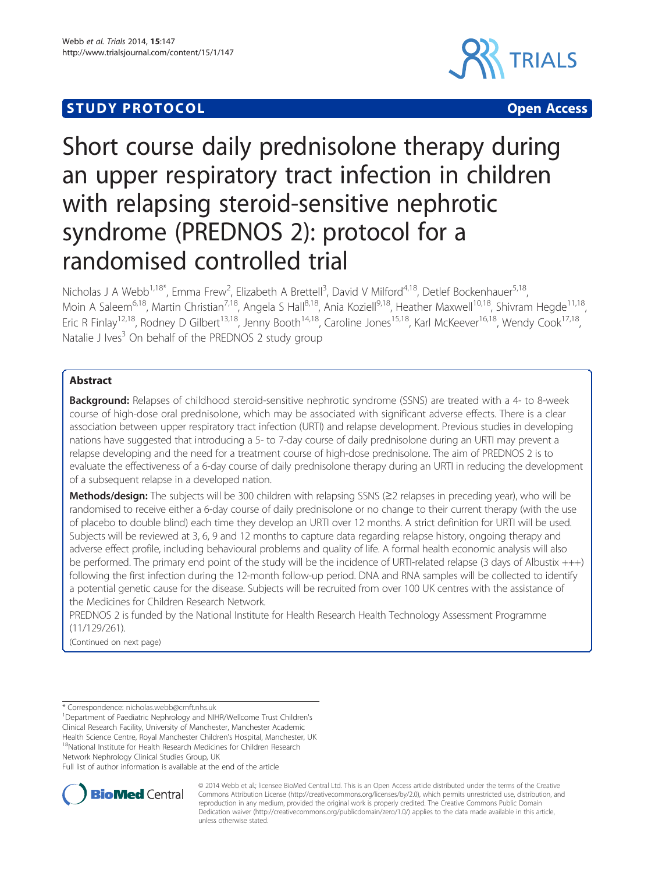# **STUDY PROTOCOL CONSUMING THE CONSUMING OPEN ACCESS**



# Short course daily prednisolone therapy during an upper respiratory tract infection in children with relapsing steroid-sensitive nephrotic syndrome (PREDNOS 2): protocol for a randomised controlled trial

Nicholas J A Webb<sup>1,18\*</sup>, Emma Frew<sup>2</sup>, Elizabeth A Brettell<sup>3</sup>, David V Milford<sup>4,18</sup>, Detlef Bockenhauer<sup>5,18</sup>, Moin A Saleem<sup>6,18</sup>, Martin Christian<sup>7,18</sup>, Angela S Hall<sup>8,18</sup>, Ania Koziell<sup>9,18</sup>, Heather Maxwell<sup>10,18</sup>, Shivram Hegde<sup>11,18</sup>, Eric R Finlay<sup>12,18</sup>, Rodney D Gilbert<sup>13,18</sup>, Jenny Booth<sup>14,18</sup>, Caroline Jones<sup>15,18</sup>, Karl McKeever<sup>16,18</sup>, Wendy Cook<sup>17,18</sup>, Natalie J Ives<sup>3</sup> On behalf of the PREDNOS 2 study group

# Abstract

**Background:** Relapses of childhood steroid-sensitive nephrotic syndrome (SSNS) are treated with a 4- to 8-week course of high-dose oral prednisolone, which may be associated with significant adverse effects. There is a clear association between upper respiratory tract infection (URTI) and relapse development. Previous studies in developing nations have suggested that introducing a 5- to 7-day course of daily prednisolone during an URTI may prevent a relapse developing and the need for a treatment course of high-dose prednisolone. The aim of PREDNOS 2 is to evaluate the effectiveness of a 6-day course of daily prednisolone therapy during an URTI in reducing the development of a subsequent relapse in a developed nation.

Methods/design: The subjects will be 300 children with relapsing SSNS (≥2 relapses in preceding year), who will be randomised to receive either a 6-day course of daily prednisolone or no change to their current therapy (with the use of placebo to double blind) each time they develop an URTI over 12 months. A strict definition for URTI will be used. Subjects will be reviewed at 3, 6, 9 and 12 months to capture data regarding relapse history, ongoing therapy and adverse effect profile, including behavioural problems and quality of life. A formal health economic analysis will also be performed. The primary end point of the study will be the incidence of URTI-related relapse (3 days of Albustix +++) following the first infection during the 12-month follow-up period. DNA and RNA samples will be collected to identify a potential genetic cause for the disease. Subjects will be recruited from over 100 UK centres with the assistance of the Medicines for Children Research Network.

PREDNOS 2 is funded by the National Institute for Health Research Health Technology Assessment Programme (11/129/261).

(Continued on next page)

\* Correspondence: [nicholas.webb@cmft.nhs.uk](mailto:nicholas.webb@cmft.nhs.uk) <sup>1</sup>

<sup>1</sup>Department of Paediatric Nephrology and NIHR/Wellcome Trust Children's

Clinical Research Facility, University of Manchester, Manchester Academic Health Science Centre, Royal Manchester Children's Hospital, Manchester, UK <sup>18</sup>National Institute for Health Research Medicines for Children Research

Network Nephrology Clinical Studies Group, UK

Full list of author information is available at the end of the article



© 2014 Webb et al.; licensee BioMed Central Ltd. This is an Open Access article distributed under the terms of the Creative Commons Attribution License [\(http://creativecommons.org/licenses/by/2.0\)](http://creativecommons.org/licenses/by/2.0), which permits unrestricted use, distribution, and reproduction in any medium, provided the original work is properly credited. The Creative Commons Public Domain Dedication waiver [\(http://creativecommons.org/publicdomain/zero/1.0/](http://creativecommons.org/publicdomain/zero/1.0/)) applies to the data made available in this article, unless otherwise stated.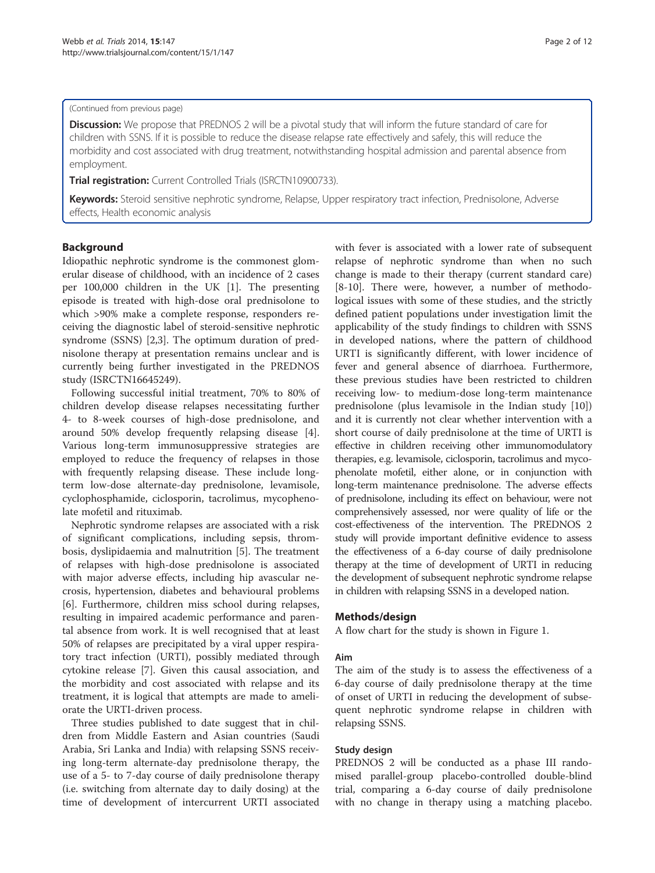#### (Continued from previous page)

Discussion: We propose that PREDNOS 2 will be a pivotal study that will inform the future standard of care for children with SSNS. If it is possible to reduce the disease relapse rate effectively and safely, this will reduce the morbidity and cost associated with drug treatment, notwithstanding hospital admission and parental absence from employment.

#### Trial registration: Current Controlled Trials [\(ISRCTN10900733\).](http://www.controlled-trials.com/ISRCTN10900733)

Keywords: Steroid sensitive nephrotic syndrome, Relapse, Upper respiratory tract infection, Prednisolone, Adverse effects, Health economic analysis

# Background

Idiopathic nephrotic syndrome is the commonest glomerular disease of childhood, with an incidence of 2 cases per 100,000 children in the UK [\[1](#page-11-0)]. The presenting episode is treated with high-dose oral prednisolone to which >90% make a complete response, responders receiving the diagnostic label of steroid-sensitive nephrotic syndrome (SSNS) [\[2,3](#page-11-0)]. The optimum duration of prednisolone therapy at presentation remains unclear and is currently being further investigated in the PREDNOS study (ISRCTN16645249).

Following successful initial treatment, 70% to 80% of children develop disease relapses necessitating further 4- to 8-week courses of high-dose prednisolone, and around 50% develop frequently relapsing disease [\[4](#page-11-0)]. Various long-term immunosuppressive strategies are employed to reduce the frequency of relapses in those with frequently relapsing disease. These include longterm low-dose alternate-day prednisolone, levamisole, cyclophosphamide, ciclosporin, tacrolimus, mycophenolate mofetil and rituximab.

Nephrotic syndrome relapses are associated with a risk of significant complications, including sepsis, thrombosis, dyslipidaemia and malnutrition [[5\]](#page-11-0). The treatment of relapses with high-dose prednisolone is associated with major adverse effects, including hip avascular necrosis, hypertension, diabetes and behavioural problems [[6\]](#page-11-0). Furthermore, children miss school during relapses, resulting in impaired academic performance and parental absence from work. It is well recognised that at least 50% of relapses are precipitated by a viral upper respiratory tract infection (URTI), possibly mediated through cytokine release [\[7](#page-11-0)]. Given this causal association, and the morbidity and cost associated with relapse and its treatment, it is logical that attempts are made to ameliorate the URTI-driven process.

Three studies published to date suggest that in children from Middle Eastern and Asian countries (Saudi Arabia, Sri Lanka and India) with relapsing SSNS receiving long-term alternate-day prednisolone therapy, the use of a 5- to 7-day course of daily prednisolone therapy (i.e. switching from alternate day to daily dosing) at the time of development of intercurrent URTI associated with fever is associated with a lower rate of subsequent relapse of nephrotic syndrome than when no such change is made to their therapy (current standard care) [[8-10](#page-11-0)]. There were, however, a number of methodological issues with some of these studies, and the strictly defined patient populations under investigation limit the applicability of the study findings to children with SSNS in developed nations, where the pattern of childhood URTI is significantly different, with lower incidence of fever and general absence of diarrhoea. Furthermore, these previous studies have been restricted to children receiving low- to medium-dose long-term maintenance prednisolone (plus levamisole in the Indian study [\[10](#page-11-0)]) and it is currently not clear whether intervention with a short course of daily prednisolone at the time of URTI is effective in children receiving other immunomodulatory therapies, e.g. levamisole, ciclosporin, tacrolimus and mycophenolate mofetil, either alone, or in conjunction with long-term maintenance prednisolone. The adverse effects of prednisolone, including its effect on behaviour, were not comprehensively assessed, nor were quality of life or the cost-effectiveness of the intervention. The PREDNOS 2 study will provide important definitive evidence to assess the effectiveness of a 6-day course of daily prednisolone therapy at the time of development of URTI in reducing the development of subsequent nephrotic syndrome relapse in children with relapsing SSNS in a developed nation.

# Methods/design

A flow chart for the study is shown in Figure [1](#page-2-0).

#### Aim

The aim of the study is to assess the effectiveness of a 6-day course of daily prednisolone therapy at the time of onset of URTI in reducing the development of subsequent nephrotic syndrome relapse in children with relapsing SSNS.

#### Study design

PREDNOS 2 will be conducted as a phase III randomised parallel-group placebo-controlled double-blind trial, comparing a 6-day course of daily prednisolone with no change in therapy using a matching placebo.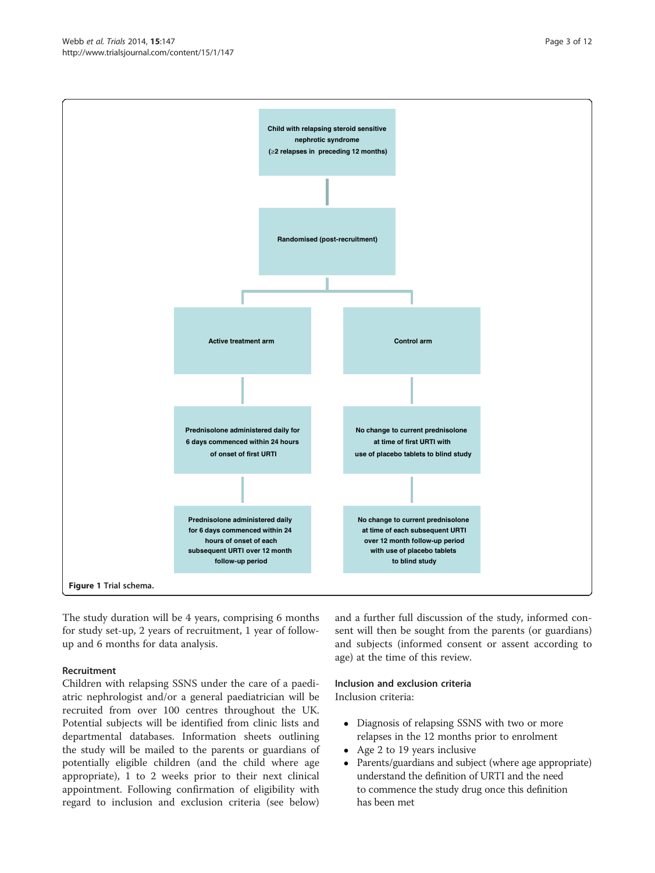<span id="page-2-0"></span>

The study duration will be 4 years, comprising 6 months for study set-up, 2 years of recruitment, 1 year of followup and 6 months for data analysis.

# Recruitment

Children with relapsing SSNS under the care of a paediatric nephrologist and/or a general paediatrician will be recruited from over 100 centres throughout the UK. Potential subjects will be identified from clinic lists and departmental databases. Information sheets outlining the study will be mailed to the parents or guardians of potentially eligible children (and the child where age appropriate), 1 to 2 weeks prior to their next clinical appointment. Following confirmation of eligibility with regard to inclusion and exclusion criteria (see below)

and a further full discussion of the study, informed consent will then be sought from the parents (or guardians) and subjects (informed consent or assent according to age) at the time of this review.

#### Inclusion and exclusion criteria

Inclusion criteria:

- Diagnosis of relapsing SSNS with two or more relapses in the 12 months prior to enrolment
- Age 2 to 19 years inclusive<br>• Parents/guardians and subie
- Parents/guardians and subject (where age appropriate) understand the definition of URTI and the need to commence the study drug once this definition has been met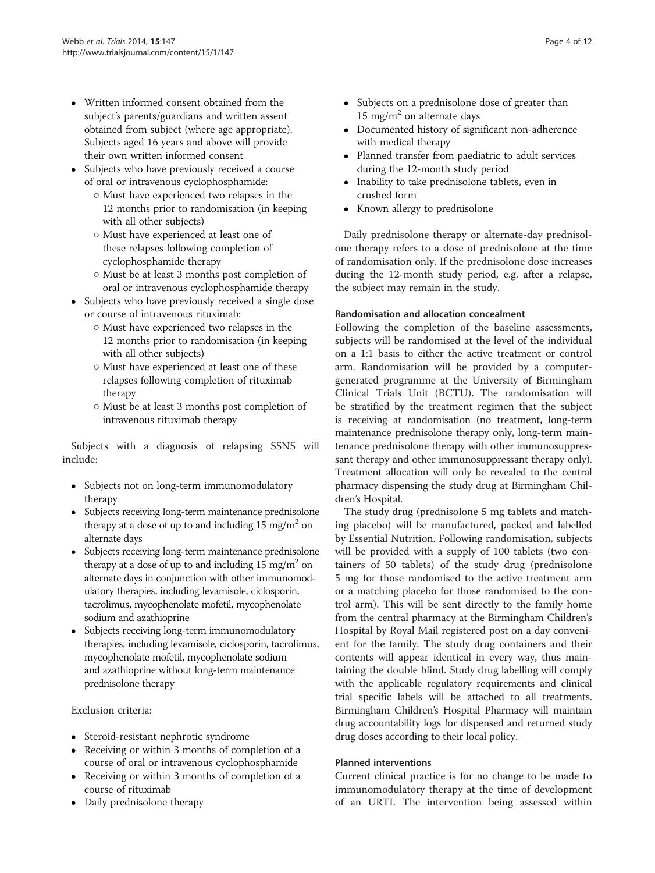- Written informed consent obtained from the subject's parents/guardians and written assent obtained from subject (where age appropriate). Subjects aged 16 years and above will provide their own written informed consent
- Subjects who have previously received a course of oral or intravenous cyclophosphamide:
	- Must have experienced two relapses in the 12 months prior to randomisation (in keeping with all other subjects)
	- Must have experienced at least one of these relapses following completion of cyclophosphamide therapy
	- Must be at least 3 months post completion of oral or intravenous cyclophosphamide therapy
- Subjects who have previously received a single dose or course of intravenous rituximab:
	- Must have experienced two relapses in the 12 months prior to randomisation (in keeping with all other subjects)
	- Must have experienced at least one of these relapses following completion of rituximab therapy
	- Must be at least 3 months post completion of intravenous rituximab therapy

Subjects with a diagnosis of relapsing SSNS will include:

- Subjects not on long-term immunomodulatory therapy
- Subjects receiving long-term maintenance prednisolone therapy at a dose of up to and including 15 mg/m<sup>2</sup> on alternate days
- Subjects receiving long-term maintenance prednisolone therapy at a dose of up to and including 15 mg/m<sup>2</sup> on alternate days in conjunction with other immunomodulatory therapies, including levamisole, ciclosporin, tacrolimus, mycophenolate mofetil, mycophenolate sodium and azathioprine
- Subjects receiving long-term immunomodulatory therapies, including levamisole, ciclosporin, tacrolimus, mycophenolate mofetil, mycophenolate sodium and azathioprine without long-term maintenance prednisolone therapy

Exclusion criteria:

- Steroid-resistant nephrotic syndrome
- Receiving or within 3 months of completion of a course of oral or intravenous cyclophosphamide
- Receiving or within 3 months of completion of a course of rituximab
- Daily prednisolone therapy
- Subjects on a prednisolone dose of greater than 15 mg/m<sup>2</sup> on alternate days
- Documented history of significant non-adherence with medical therapy
- Planned transfer from paediatric to adult services during the 12-month study period
- Inability to take prednisolone tablets, even in crushed form
- Known allergy to prednisolone

Daily prednisolone therapy or alternate-day prednisolone therapy refers to a dose of prednisolone at the time of randomisation only. If the prednisolone dose increases during the 12-month study period, e.g. after a relapse, the subject may remain in the study.

# Randomisation and allocation concealment

Following the completion of the baseline assessments, subjects will be randomised at the level of the individual on a 1:1 basis to either the active treatment or control arm. Randomisation will be provided by a computergenerated programme at the University of Birmingham Clinical Trials Unit (BCTU). The randomisation will be stratified by the treatment regimen that the subject is receiving at randomisation (no treatment, long-term maintenance prednisolone therapy only, long-term maintenance prednisolone therapy with other immunosuppressant therapy and other immunosuppressant therapy only). Treatment allocation will only be revealed to the central pharmacy dispensing the study drug at Birmingham Children's Hospital.

The study drug (prednisolone 5 mg tablets and matching placebo) will be manufactured, packed and labelled by Essential Nutrition. Following randomisation, subjects will be provided with a supply of 100 tablets (two containers of 50 tablets) of the study drug (prednisolone 5 mg for those randomised to the active treatment arm or a matching placebo for those randomised to the control arm). This will be sent directly to the family home from the central pharmacy at the Birmingham Children's Hospital by Royal Mail registered post on a day convenient for the family. The study drug containers and their contents will appear identical in every way, thus maintaining the double blind. Study drug labelling will comply with the applicable regulatory requirements and clinical trial specific labels will be attached to all treatments. Birmingham Children's Hospital Pharmacy will maintain drug accountability logs for dispensed and returned study drug doses according to their local policy.

# Planned interventions

Current clinical practice is for no change to be made to immunomodulatory therapy at the time of development of an URTI. The intervention being assessed within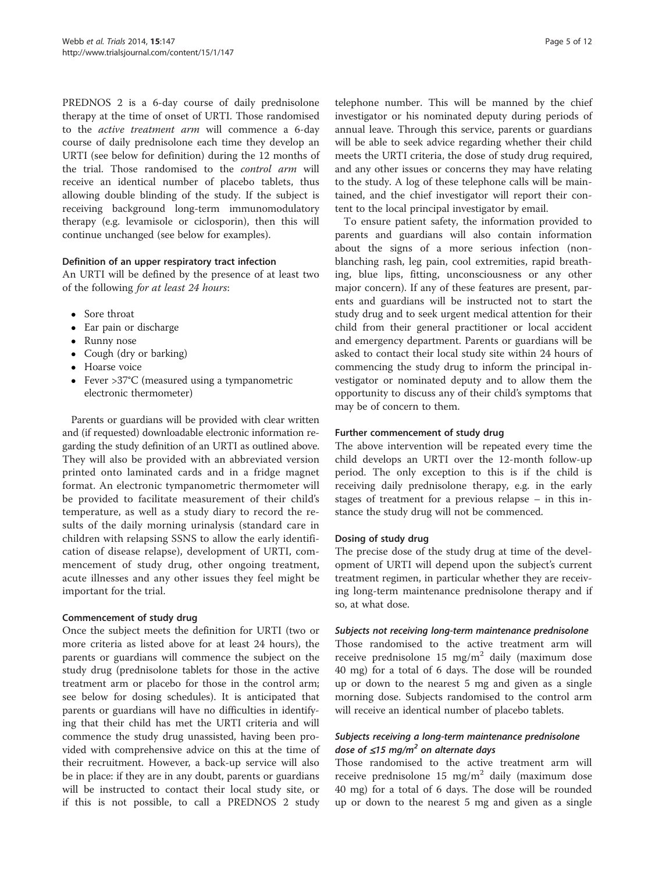PREDNOS 2 is a 6-day course of daily prednisolone therapy at the time of onset of URTI. Those randomised to the active treatment arm will commence a 6-day course of daily prednisolone each time they develop an URTI (see below for definition) during the 12 months of the trial. Those randomised to the control arm will receive an identical number of placebo tablets, thus allowing double blinding of the study. If the subject is receiving background long-term immunomodulatory therapy (e.g. levamisole or ciclosporin), then this will continue unchanged (see below for examples).

#### Definition of an upper respiratory tract infection

An URTI will be defined by the presence of at least two of the following for at least 24 hours:

- Sore throat
- Ear pain or discharge
- Runny nose
- Cough (dry or barking)
- Hoarse voice
- Fever >37°C (measured using a tympanometric electronic thermometer)

Parents or guardians will be provided with clear written and (if requested) downloadable electronic information regarding the study definition of an URTI as outlined above. They will also be provided with an abbreviated version printed onto laminated cards and in a fridge magnet format. An electronic tympanometric thermometer will be provided to facilitate measurement of their child's temperature, as well as a study diary to record the results of the daily morning urinalysis (standard care in children with relapsing SSNS to allow the early identification of disease relapse), development of URTI, commencement of study drug, other ongoing treatment, acute illnesses and any other issues they feel might be important for the trial.

#### Commencement of study drug

Once the subject meets the definition for URTI (two or more criteria as listed above for at least 24 hours), the parents or guardians will commence the subject on the study drug (prednisolone tablets for those in the active treatment arm or placebo for those in the control arm; see below for dosing schedules). It is anticipated that parents or guardians will have no difficulties in identifying that their child has met the URTI criteria and will commence the study drug unassisted, having been provided with comprehensive advice on this at the time of their recruitment. However, a back-up service will also be in place: if they are in any doubt, parents or guardians will be instructed to contact their local study site, or if this is not possible, to call a PREDNOS 2 study

telephone number. This will be manned by the chief investigator or his nominated deputy during periods of annual leave. Through this service, parents or guardians will be able to seek advice regarding whether their child meets the URTI criteria, the dose of study drug required, and any other issues or concerns they may have relating to the study. A log of these telephone calls will be maintained, and the chief investigator will report their content to the local principal investigator by email.

To ensure patient safety, the information provided to parents and guardians will also contain information about the signs of a more serious infection (nonblanching rash, leg pain, cool extremities, rapid breathing, blue lips, fitting, unconsciousness or any other major concern). If any of these features are present, parents and guardians will be instructed not to start the study drug and to seek urgent medical attention for their child from their general practitioner or local accident and emergency department. Parents or guardians will be asked to contact their local study site within 24 hours of commencing the study drug to inform the principal investigator or nominated deputy and to allow them the opportunity to discuss any of their child's symptoms that may be of concern to them.

#### Further commencement of study drug

The above intervention will be repeated every time the child develops an URTI over the 12-month follow-up period. The only exception to this is if the child is receiving daily prednisolone therapy, e.g. in the early stages of treatment for a previous relapse – in this instance the study drug will not be commenced.

#### Dosing of study drug

The precise dose of the study drug at time of the development of URTI will depend upon the subject's current treatment regimen, in particular whether they are receiving long-term maintenance prednisolone therapy and if so, at what dose.

#### Subjects not receiving long-term maintenance prednisolone

Those randomised to the active treatment arm will receive prednisolone 15 mg/m<sup>2</sup> daily (maximum dose 40 mg) for a total of 6 days. The dose will be rounded up or down to the nearest 5 mg and given as a single morning dose. Subjects randomised to the control arm will receive an identical number of placebo tablets.

# Subjects receiving a long-term maintenance prednisolone dose of  $≤15$  mg/m<sup>2</sup> on alternate days

Those randomised to the active treatment arm will receive prednisolone 15 mg/m<sup>2</sup> daily (maximum dose 40 mg) for a total of 6 days. The dose will be rounded up or down to the nearest 5 mg and given as a single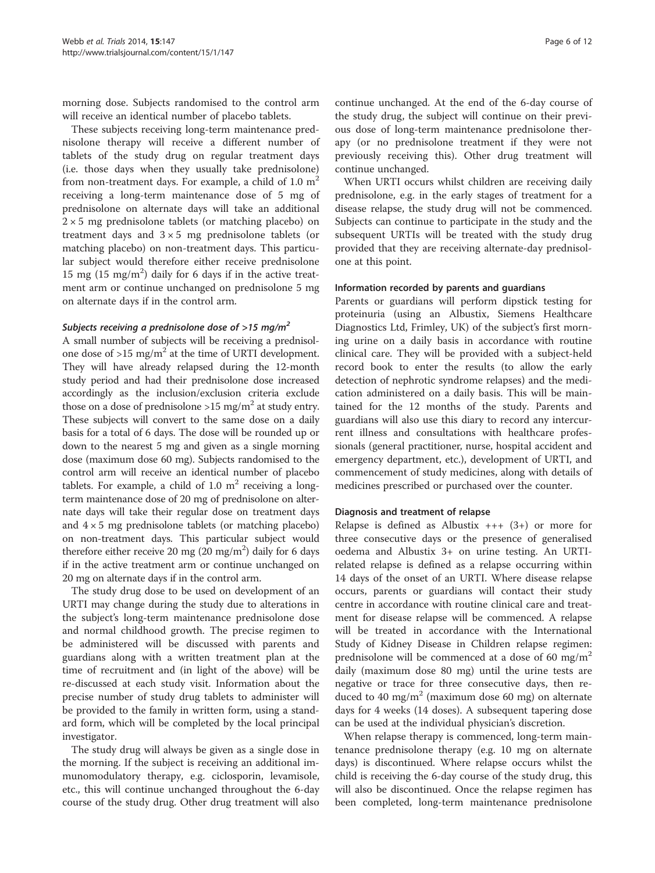morning dose. Subjects randomised to the control arm will receive an identical number of placebo tablets.

These subjects receiving long-term maintenance prednisolone therapy will receive a different number of tablets of the study drug on regular treatment days (i.e. those days when they usually take prednisolone) from non-treatment days. For example, a child of 1.0  $m<sup>2</sup>$ receiving a long-term maintenance dose of 5 mg of prednisolone on alternate days will take an additional  $2 \times 5$  mg prednisolone tablets (or matching placebo) on treatment days and  $3 \times 5$  mg prednisolone tablets (or matching placebo) on non-treatment days. This particular subject would therefore either receive prednisolone 15 mg (15 mg/m<sup>2</sup>) daily for 6 days if in the active treatment arm or continue unchanged on prednisolone 5 mg on alternate days if in the control arm.

#### Subjects receiving a prednisolone dose of >15 mg/m<sup>2</sup>

A small number of subjects will be receiving a prednisolone dose of  $>15$  mg/m<sup>2</sup> at the time of URTI development. They will have already relapsed during the 12-month study period and had their prednisolone dose increased accordingly as the inclusion/exclusion criteria exclude those on a dose of prednisolone  $>15$  mg/m<sup>2</sup> at study entry. These subjects will convert to the same dose on a daily basis for a total of 6 days. The dose will be rounded up or down to the nearest 5 mg and given as a single morning dose (maximum dose 60 mg). Subjects randomised to the control arm will receive an identical number of placebo tablets. For example, a child of 1.0  $m<sup>2</sup>$  receiving a longterm maintenance dose of 20 mg of prednisolone on alternate days will take their regular dose on treatment days and  $4 \times 5$  mg prednisolone tablets (or matching placebo) on non-treatment days. This particular subject would therefore either receive 20 mg (20 mg/m<sup>2</sup>) daily for 6 days if in the active treatment arm or continue unchanged on 20 mg on alternate days if in the control arm.

The study drug dose to be used on development of an URTI may change during the study due to alterations in the subject's long-term maintenance prednisolone dose and normal childhood growth. The precise regimen to be administered will be discussed with parents and guardians along with a written treatment plan at the time of recruitment and (in light of the above) will be re-discussed at each study visit. Information about the precise number of study drug tablets to administer will be provided to the family in written form, using a standard form, which will be completed by the local principal investigator.

The study drug will always be given as a single dose in the morning. If the subject is receiving an additional immunomodulatory therapy, e.g. ciclosporin, levamisole, etc., this will continue unchanged throughout the 6-day course of the study drug. Other drug treatment will also

continue unchanged. At the end of the 6-day course of the study drug, the subject will continue on their previous dose of long-term maintenance prednisolone therapy (or no prednisolone treatment if they were not previously receiving this). Other drug treatment will continue unchanged.

When URTI occurs whilst children are receiving daily prednisolone, e.g. in the early stages of treatment for a disease relapse, the study drug will not be commenced. Subjects can continue to participate in the study and the subsequent URTIs will be treated with the study drug provided that they are receiving alternate-day prednisolone at this point.

#### Information recorded by parents and guardians

Parents or guardians will perform dipstick testing for proteinuria (using an Albustix, Siemens Healthcare Diagnostics Ltd, Frimley, UK) of the subject's first morning urine on a daily basis in accordance with routine clinical care. They will be provided with a subject-held record book to enter the results (to allow the early detection of nephrotic syndrome relapses) and the medication administered on a daily basis. This will be maintained for the 12 months of the study. Parents and guardians will also use this diary to record any intercurrent illness and consultations with healthcare professionals (general practitioner, nurse, hospital accident and emergency department, etc.), development of URTI, and commencement of study medicines, along with details of medicines prescribed or purchased over the counter.

#### Diagnosis and treatment of relapse

Relapse is defined as Albustix  $++$   $(3+)$  or more for three consecutive days or the presence of generalised oedema and Albustix 3+ on urine testing. An URTIrelated relapse is defined as a relapse occurring within 14 days of the onset of an URTI. Where disease relapse occurs, parents or guardians will contact their study centre in accordance with routine clinical care and treatment for disease relapse will be commenced. A relapse will be treated in accordance with the International Study of Kidney Disease in Children relapse regimen: prednisolone will be commenced at a dose of 60 mg/m<sup>2</sup> daily (maximum dose 80 mg) until the urine tests are negative or trace for three consecutive days, then reduced to 40 mg/m<sup>2</sup> (maximum dose 60 mg) on alternate days for 4 weeks (14 doses). A subsequent tapering dose can be used at the individual physician's discretion.

When relapse therapy is commenced, long-term maintenance prednisolone therapy (e.g. 10 mg on alternate days) is discontinued. Where relapse occurs whilst the child is receiving the 6-day course of the study drug, this will also be discontinued. Once the relapse regimen has been completed, long-term maintenance prednisolone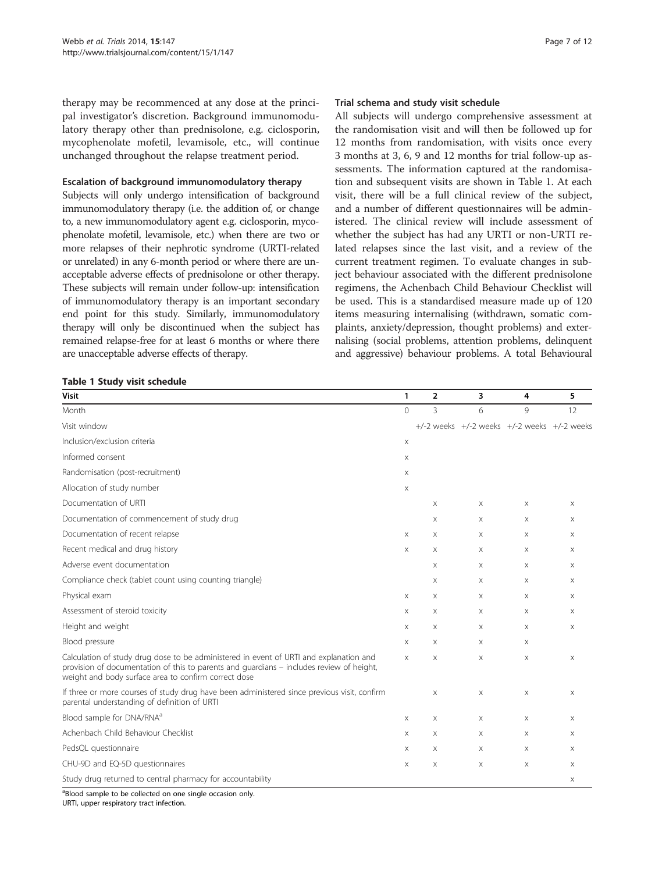therapy may be recommenced at any dose at the principal investigator's discretion. Background immunomodulatory therapy other than prednisolone, e.g. ciclosporin, mycophenolate mofetil, levamisole, etc., will continue unchanged throughout the relapse treatment period.

#### Escalation of background immunomodulatory therapy

Subjects will only undergo intensification of background immunomodulatory therapy (i.e. the addition of, or change to, a new immunomodulatory agent e.g. ciclosporin, mycophenolate mofetil, levamisole, etc.) when there are two or more relapses of their nephrotic syndrome (URTI-related or unrelated) in any 6-month period or where there are unacceptable adverse effects of prednisolone or other therapy. These subjects will remain under follow-up: intensification of immunomodulatory therapy is an important secondary end point for this study. Similarly, immunomodulatory therapy will only be discontinued when the subject has remained relapse-free for at least 6 months or where there are unacceptable adverse effects of therapy.

#### Trial schema and study visit schedule

All subjects will undergo comprehensive assessment at the randomisation visit and will then be followed up for 12 months from randomisation, with visits once every 3 months at 3, 6, 9 and 12 months for trial follow-up assessments. The information captured at the randomisation and subsequent visits are shown in Table 1. At each visit, there will be a full clinical review of the subject, and a number of different questionnaires will be administered. The clinical review will include assessment of whether the subject has had any URTI or non-URTI related relapses since the last visit, and a review of the current treatment regimen. To evaluate changes in subject behaviour associated with the different prednisolone regimens, the Achenbach Child Behaviour Checklist will be used. This is a standardised measure made up of 120 items measuring internalising (withdrawn, somatic complaints, anxiety/depression, thought problems) and externalising (social problems, attention problems, delinquent and aggressive) behaviour problems. A total Behavioural

#### Table 1 Study visit schedule

| <b>Visit</b>                                                                                                                                                                                                                               | $\mathbf{1}$              | $\overline{2}$ | 3                     | 4                                                   | 5           |
|--------------------------------------------------------------------------------------------------------------------------------------------------------------------------------------------------------------------------------------------|---------------------------|----------------|-----------------------|-----------------------------------------------------|-------------|
| Month                                                                                                                                                                                                                                      | $\Omega$                  | 3              | 6                     | 9                                                   | 12          |
| Visit window                                                                                                                                                                                                                               |                           |                |                       | $+/-2$ weeks $+/-2$ weeks $+/-2$ weeks $+/-2$ weeks |             |
| Inclusion/exclusion criteria                                                                                                                                                                                                               | $\boldsymbol{\mathsf{X}}$ |                |                       |                                                     |             |
| Informed consent                                                                                                                                                                                                                           | $\times$                  |                |                       |                                                     |             |
| Randomisation (post-recruitment)                                                                                                                                                                                                           | $\times$                  |                |                       |                                                     |             |
| Allocation of study number                                                                                                                                                                                                                 | $\boldsymbol{\mathsf{X}}$ |                |                       |                                                     |             |
| Documentation of URTI                                                                                                                                                                                                                      |                           | $\times$       | X                     | $\times$                                            | $\times$    |
| Documentation of commencement of study drug                                                                                                                                                                                                |                           | X              | X                     | $\times$                                            | $\times$    |
| Documentation of recent relapse                                                                                                                                                                                                            | $\times$                  | X              | X                     | $\times$                                            | $\times$    |
| Recent medical and drug history                                                                                                                                                                                                            | X                         | X              | X                     | Χ                                                   | $\times$    |
| Adverse event documentation                                                                                                                                                                                                                |                           | $\times$       | X                     | X                                                   | $\times$    |
| Compliance check (tablet count using counting triangle)                                                                                                                                                                                    |                           | X              | X                     | X                                                   | X           |
| Physical exam                                                                                                                                                                                                                              | $\times$                  | X              | X                     | $\times$                                            | $\times$    |
| Assessment of steroid toxicity                                                                                                                                                                                                             | $\times$                  | X              | $\times$              | $\times$                                            | $\times$    |
| Height and weight                                                                                                                                                                                                                          | $\times$                  | X              | X                     | $\times$                                            | $\times$    |
| Blood pressure                                                                                                                                                                                                                             | $\times$                  | X              | X                     | $\times$                                            |             |
| Calculation of study drug dose to be administered in event of URTI and explanation and<br>provision of documentation of this to parents and quardians - includes review of height,<br>weight and body surface area to confirm correct dose | $\mathsf X$               | $\times$       | $\boldsymbol{\times}$ | $\mathsf X$                                         | $\times$    |
| If three or more courses of study drug have been administered since previous visit, confirm<br>parental understanding of definition of URTI                                                                                                |                           | $\times$       | $\times$              | $\times$                                            | $\times$    |
| Blood sample for DNA/RNA <sup>a</sup>                                                                                                                                                                                                      | $\times$                  | $\times$       | $\chi$                | $\times$                                            | $\times$    |
| Achenbach Child Behaviour Checklist                                                                                                                                                                                                        | $\times$                  | X              | X                     | $\times$                                            | $\times$    |
| PedsQL questionnaire                                                                                                                                                                                                                       | $\times$                  | X              | X                     | $\times$                                            | $\times$    |
| CHU-9D and EQ-5D questionnaires                                                                                                                                                                                                            | X                         | X              | X                     | $\mathsf X$                                         | $\mathsf X$ |
| Study drug returned to central pharmacy for accountability                                                                                                                                                                                 |                           |                |                       |                                                     | X           |

<sup>a</sup>Blood sample to be collected on one single occasion only.

URTI, upper respiratory tract infection.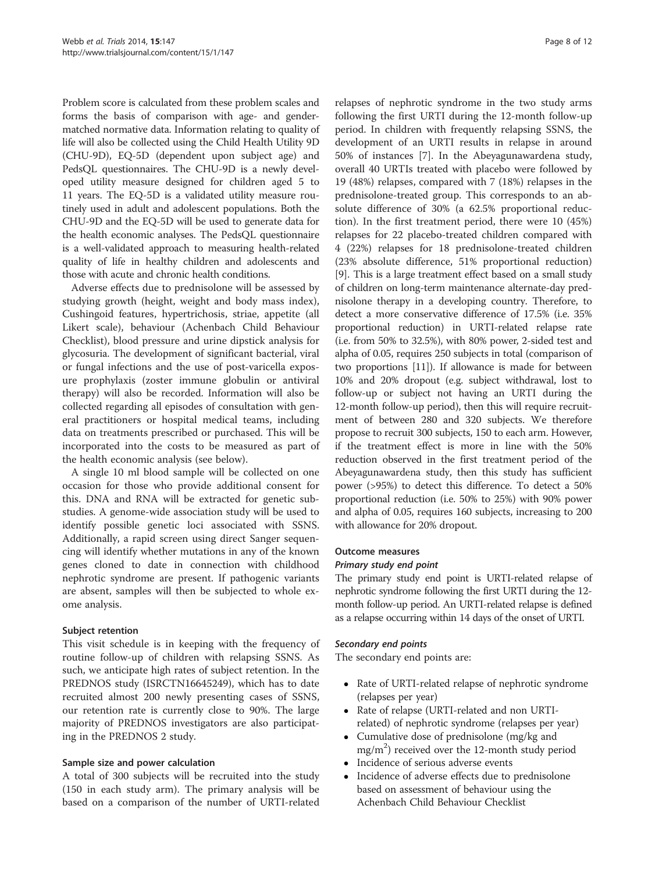Problem score is calculated from these problem scales and forms the basis of comparison with age- and gendermatched normative data. Information relating to quality of life will also be collected using the Child Health Utility 9D (CHU-9D), EQ-5D (dependent upon subject age) and PedsQL questionnaires. The CHU-9D is a newly developed utility measure designed for children aged 5 to 11 years. The EQ-5D is a validated utility measure routinely used in adult and adolescent populations. Both the CHU-9D and the EQ-5D will be used to generate data for the health economic analyses. The PedsQL questionnaire is a well-validated approach to measuring health-related quality of life in healthy children and adolescents and those with acute and chronic health conditions.

Adverse effects due to prednisolone will be assessed by studying growth (height, weight and body mass index), Cushingoid features, hypertrichosis, striae, appetite (all Likert scale), behaviour (Achenbach Child Behaviour Checklist), blood pressure and urine dipstick analysis for glycosuria. The development of significant bacterial, viral or fungal infections and the use of post-varicella exposure prophylaxis (zoster immune globulin or antiviral therapy) will also be recorded. Information will also be collected regarding all episodes of consultation with general practitioners or hospital medical teams, including data on treatments prescribed or purchased. This will be incorporated into the costs to be measured as part of the health economic analysis (see below).

A single 10 ml blood sample will be collected on one occasion for those who provide additional consent for this. DNA and RNA will be extracted for genetic substudies. A genome-wide association study will be used to identify possible genetic loci associated with SSNS. Additionally, a rapid screen using direct Sanger sequencing will identify whether mutations in any of the known genes cloned to date in connection with childhood nephrotic syndrome are present. If pathogenic variants are absent, samples will then be subjected to whole exome analysis.

#### Subject retention

This visit schedule is in keeping with the frequency of routine follow-up of children with relapsing SSNS. As such, we anticipate high rates of subject retention. In the PREDNOS study (ISRCTN16645249), which has to date recruited almost 200 newly presenting cases of SSNS, our retention rate is currently close to 90%. The large majority of PREDNOS investigators are also participating in the PREDNOS 2 study.

# Sample size and power calculation

A total of 300 subjects will be recruited into the study (150 in each study arm). The primary analysis will be based on a comparison of the number of URTI-related relapses of nephrotic syndrome in the two study arms following the first URTI during the 12-month follow-up period. In children with frequently relapsing SSNS, the development of an URTI results in relapse in around 50% of instances [\[7](#page-11-0)]. In the Abeyagunawardena study, overall 40 URTIs treated with placebo were followed by 19 (48%) relapses, compared with 7 (18%) relapses in the prednisolone-treated group. This corresponds to an absolute difference of 30% (a 62.5% proportional reduction). In the first treatment period, there were 10 (45%) relapses for 22 placebo-treated children compared with 4 (22%) relapses for 18 prednisolone-treated children (23% absolute difference, 51% proportional reduction) [[9\]](#page-11-0). This is a large treatment effect based on a small study of children on long-term maintenance alternate-day prednisolone therapy in a developing country. Therefore, to detect a more conservative difference of 17.5% (i.e. 35% proportional reduction) in URTI-related relapse rate (i.e. from 50% to 32.5%), with 80% power, 2-sided test and alpha of 0.05, requires 250 subjects in total (comparison of two proportions [\[11\]](#page-11-0)). If allowance is made for between 10% and 20% dropout (e.g. subject withdrawal, lost to follow-up or subject not having an URTI during the 12-month follow-up period), then this will require recruitment of between 280 and 320 subjects. We therefore propose to recruit 300 subjects, 150 to each arm. However, if the treatment effect is more in line with the 50% reduction observed in the first treatment period of the Abeyagunawardena study, then this study has sufficient power (>95%) to detect this difference. To detect a 50% proportional reduction (i.e. 50% to 25%) with 90% power and alpha of 0.05, requires 160 subjects, increasing to 200 with allowance for 20% dropout.

# Outcome measures

#### Primary study end point

The primary study end point is URTI-related relapse of nephrotic syndrome following the first URTI during the 12 month follow-up period. An URTI-related relapse is defined as a relapse occurring within 14 days of the onset of URTI.

#### Secondary end points

The secondary end points are:

- Rate of URTI-related relapse of nephrotic syndrome (relapses per year)
- Rate of relapse (URTI-related and non URTIrelated) of nephrotic syndrome (relapses per year)
- Cumulative dose of prednisolone (mg/kg and mg/m<sup>2</sup> ) received over the 12-month study period
- Incidence of serious adverse events
- Incidence of adverse effects due to prednisolone based on assessment of behaviour using the Achenbach Child Behaviour Checklist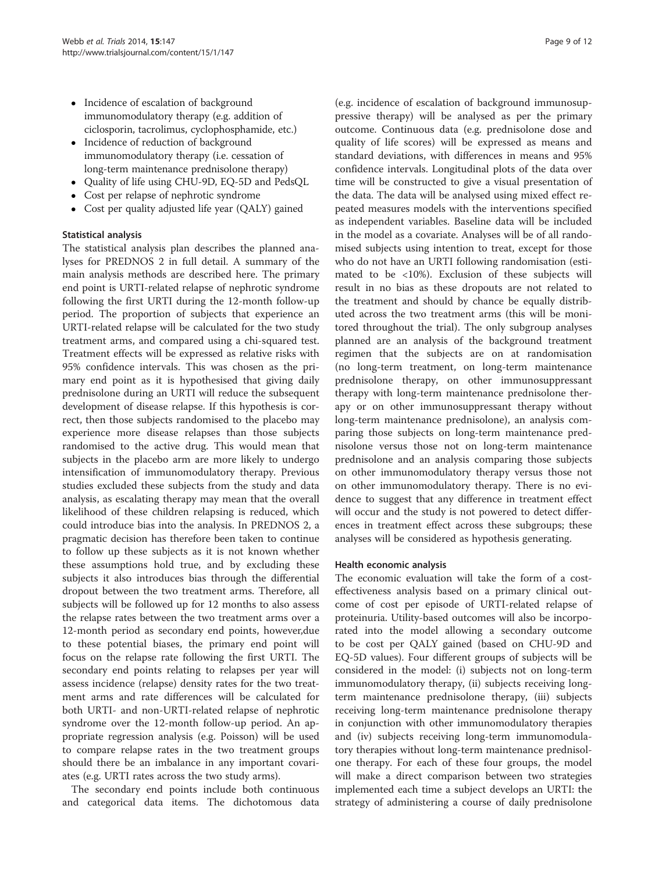- Incidence of escalation of background immunomodulatory therapy (e.g. addition of ciclosporin, tacrolimus, cyclophosphamide, etc.)
- Incidence of reduction of background immunomodulatory therapy (i.e. cessation of long-term maintenance prednisolone therapy)
- Quality of life using CHU-9D, EQ-5D and PedsQL
- Cost per relapse of nephrotic syndrome
- Cost per quality adjusted life year (QALY) gained

# Statistical analysis

The statistical analysis plan describes the planned analyses for PREDNOS 2 in full detail. A summary of the main analysis methods are described here. The primary end point is URTI-related relapse of nephrotic syndrome following the first URTI during the 12-month follow-up period. The proportion of subjects that experience an URTI-related relapse will be calculated for the two study treatment arms, and compared using a chi-squared test. Treatment effects will be expressed as relative risks with 95% confidence intervals. This was chosen as the primary end point as it is hypothesised that giving daily prednisolone during an URTI will reduce the subsequent development of disease relapse. If this hypothesis is correct, then those subjects randomised to the placebo may experience more disease relapses than those subjects randomised to the active drug. This would mean that subjects in the placebo arm are more likely to undergo intensification of immunomodulatory therapy. Previous studies excluded these subjects from the study and data analysis, as escalating therapy may mean that the overall likelihood of these children relapsing is reduced, which could introduce bias into the analysis. In PREDNOS 2, a pragmatic decision has therefore been taken to continue to follow up these subjects as it is not known whether these assumptions hold true, and by excluding these subjects it also introduces bias through the differential dropout between the two treatment arms. Therefore, all subjects will be followed up for 12 months to also assess the relapse rates between the two treatment arms over a 12-month period as secondary end points, however,due to these potential biases, the primary end point will focus on the relapse rate following the first URTI. The secondary end points relating to relapses per year will assess incidence (relapse) density rates for the two treatment arms and rate differences will be calculated for both URTI- and non-URTI-related relapse of nephrotic syndrome over the 12-month follow-up period. An appropriate regression analysis (e.g. Poisson) will be used to compare relapse rates in the two treatment groups should there be an imbalance in any important covariates (e.g. URTI rates across the two study arms).

The secondary end points include both continuous and categorical data items. The dichotomous data

(e.g. incidence of escalation of background immunosuppressive therapy) will be analysed as per the primary outcome. Continuous data (e.g. prednisolone dose and quality of life scores) will be expressed as means and standard deviations, with differences in means and 95% confidence intervals. Longitudinal plots of the data over time will be constructed to give a visual presentation of the data. The data will be analysed using mixed effect repeated measures models with the interventions specified as independent variables. Baseline data will be included in the model as a covariate. Analyses will be of all randomised subjects using intention to treat, except for those who do not have an URTI following randomisation (estimated to be <10%). Exclusion of these subjects will result in no bias as these dropouts are not related to the treatment and should by chance be equally distributed across the two treatment arms (this will be monitored throughout the trial). The only subgroup analyses planned are an analysis of the background treatment regimen that the subjects are on at randomisation (no long-term treatment, on long-term maintenance prednisolone therapy, on other immunosuppressant therapy with long-term maintenance prednisolone therapy or on other immunosuppressant therapy without long-term maintenance prednisolone), an analysis comparing those subjects on long-term maintenance prednisolone versus those not on long-term maintenance prednisolone and an analysis comparing those subjects on other immunomodulatory therapy versus those not on other immunomodulatory therapy. There is no evidence to suggest that any difference in treatment effect will occur and the study is not powered to detect differences in treatment effect across these subgroups; these analyses will be considered as hypothesis generating.

# Health economic analysis

The economic evaluation will take the form of a costeffectiveness analysis based on a primary clinical outcome of cost per episode of URTI-related relapse of proteinuria. Utility-based outcomes will also be incorporated into the model allowing a secondary outcome to be cost per QALY gained (based on CHU-9D and EQ-5D values). Four different groups of subjects will be considered in the model: (i) subjects not on long-term immunomodulatory therapy, (ii) subjects receiving longterm maintenance prednisolone therapy, (iii) subjects receiving long-term maintenance prednisolone therapy in conjunction with other immunomodulatory therapies and (iv) subjects receiving long-term immunomodulatory therapies without long-term maintenance prednisolone therapy. For each of these four groups, the model will make a direct comparison between two strategies implemented each time a subject develops an URTI: the strategy of administering a course of daily prednisolone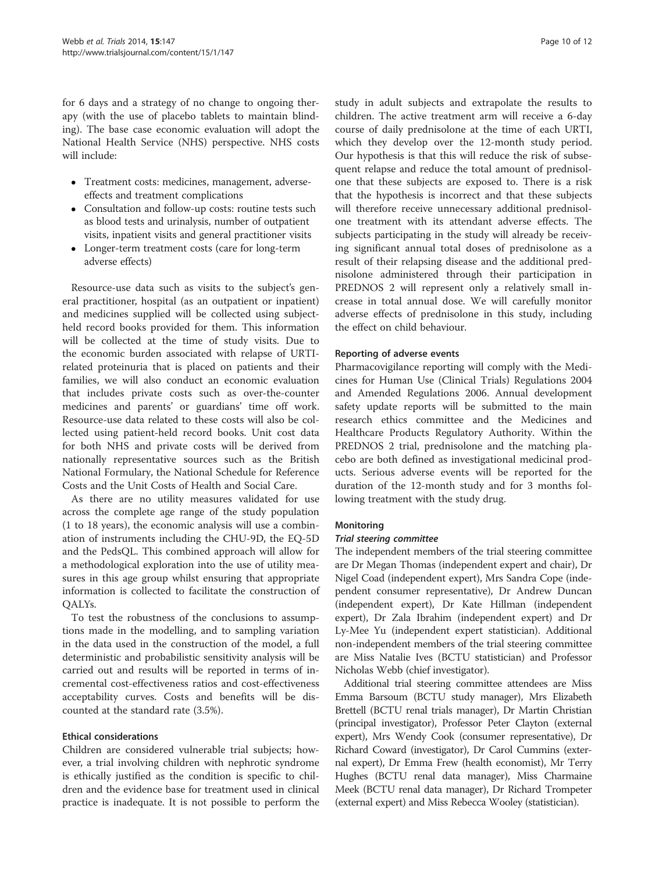for 6 days and a strategy of no change to ongoing therapy (with the use of placebo tablets to maintain blinding). The base case economic evaluation will adopt the National Health Service (NHS) perspective. NHS costs will include:

- Treatment costs: medicines, management, adverseeffects and treatment complications
- Consultation and follow-up costs: routine tests such as blood tests and urinalysis, number of outpatient visits, inpatient visits and general practitioner visits
- Longer-term treatment costs (care for long-term adverse effects)

Resource-use data such as visits to the subject's general practitioner, hospital (as an outpatient or inpatient) and medicines supplied will be collected using subjectheld record books provided for them. This information will be collected at the time of study visits. Due to the economic burden associated with relapse of URTIrelated proteinuria that is placed on patients and their families, we will also conduct an economic evaluation that includes private costs such as over-the-counter medicines and parents' or guardians' time off work. Resource-use data related to these costs will also be collected using patient-held record books. Unit cost data for both NHS and private costs will be derived from nationally representative sources such as the British National Formulary, the National Schedule for Reference Costs and the Unit Costs of Health and Social Care.

As there are no utility measures validated for use across the complete age range of the study population (1 to 18 years), the economic analysis will use a combination of instruments including the CHU-9D, the EQ-5D and the PedsQL. This combined approach will allow for a methodological exploration into the use of utility measures in this age group whilst ensuring that appropriate information is collected to facilitate the construction of QALYs.

To test the robustness of the conclusions to assumptions made in the modelling, and to sampling variation in the data used in the construction of the model, a full deterministic and probabilistic sensitivity analysis will be carried out and results will be reported in terms of incremental cost-effectiveness ratios and cost-effectiveness acceptability curves. Costs and benefits will be discounted at the standard rate (3.5%).

#### Ethical considerations

Children are considered vulnerable trial subjects; however, a trial involving children with nephrotic syndrome is ethically justified as the condition is specific to children and the evidence base for treatment used in clinical practice is inadequate. It is not possible to perform the

study in adult subjects and extrapolate the results to children. The active treatment arm will receive a 6-day course of daily prednisolone at the time of each URTI, which they develop over the 12-month study period. Our hypothesis is that this will reduce the risk of subsequent relapse and reduce the total amount of prednisolone that these subjects are exposed to. There is a risk that the hypothesis is incorrect and that these subjects will therefore receive unnecessary additional prednisolone treatment with its attendant adverse effects. The subjects participating in the study will already be receiving significant annual total doses of prednisolone as a result of their relapsing disease and the additional prednisolone administered through their participation in PREDNOS 2 will represent only a relatively small increase in total annual dose. We will carefully monitor adverse effects of prednisolone in this study, including the effect on child behaviour.

#### Reporting of adverse events

Pharmacovigilance reporting will comply with the Medicines for Human Use (Clinical Trials) Regulations 2004 and Amended Regulations 2006. Annual development safety update reports will be submitted to the main research ethics committee and the Medicines and Healthcare Products Regulatory Authority. Within the PREDNOS 2 trial, prednisolone and the matching placebo are both defined as investigational medicinal products. Serious adverse events will be reported for the duration of the 12-month study and for 3 months following treatment with the study drug.

#### **Monitoring**

#### Trial steering committee

The independent members of the trial steering committee are Dr Megan Thomas (independent expert and chair), Dr Nigel Coad (independent expert), Mrs Sandra Cope (independent consumer representative), Dr Andrew Duncan (independent expert), Dr Kate Hillman (independent expert), Dr Zala Ibrahim (independent expert) and Dr Ly-Mee Yu (independent expert statistician). Additional non-independent members of the trial steering committee are Miss Natalie Ives (BCTU statistician) and Professor Nicholas Webb (chief investigator).

Additional trial steering committee attendees are Miss Emma Barsoum (BCTU study manager), Mrs Elizabeth Brettell (BCTU renal trials manager), Dr Martin Christian (principal investigator), Professor Peter Clayton (external expert), Mrs Wendy Cook (consumer representative), Dr Richard Coward (investigator), Dr Carol Cummins (external expert), Dr Emma Frew (health economist), Mr Terry Hughes (BCTU renal data manager), Miss Charmaine Meek (BCTU renal data manager), Dr Richard Trompeter (external expert) and Miss Rebecca Wooley (statistician).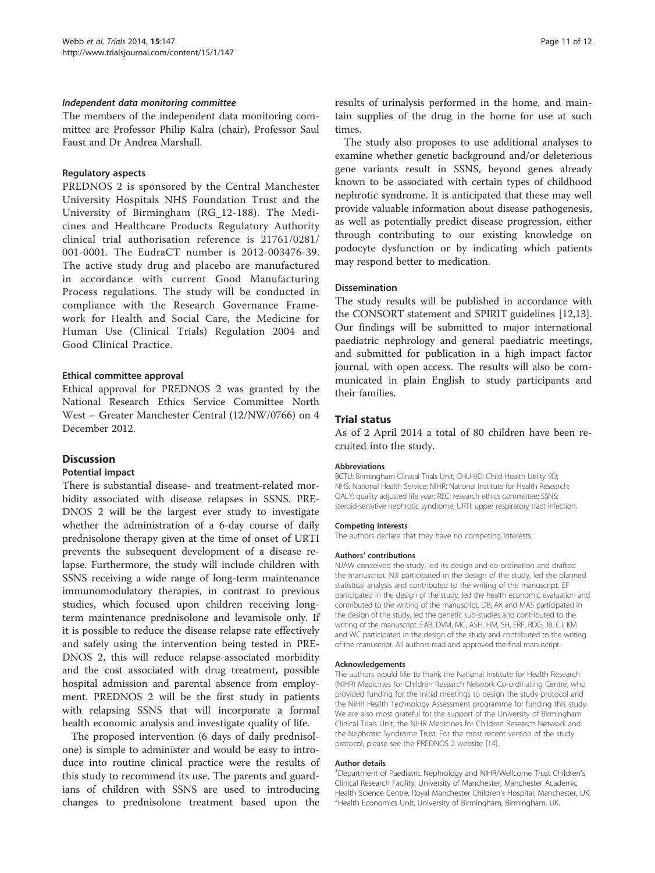#### Independent data monitoring committee

The members of the independent data monitoring committee are Professor Philip Kalra (chair), Professor Saul Faust and Dr Andrea Marshall.

#### Regulatory aspects

PREDNOS 2 is sponsored by the Central Manchester University Hospitals NHS Foundation Trust and the University of Birmingham (RG\_12-188). The Medicines and Healthcare Products Regulatory Authority clinical trial authorisation reference is 21761/0281/ 001-0001. The EudraCT number is 2012-003476-39. The active study drug and placebo are manufactured in accordance with current Good Manufacturing Process regulations. The study will be conducted in compliance with the Research Governance Framework for Health and Social Care, the Medicine for Human Use (Clinical Trials) Regulation 2004 and Good Clinical Practice.

#### Ethical committee approval

Ethical approval for PREDNOS 2 was granted by the National Research Ethics Service Committee North West – Greater Manchester Central (12/NW/0766) on 4 December 2012.

# **Discussion**

#### Potential impact

There is substantial disease- and treatment-related morbidity associated with disease relapses in SSNS. PRE-DNOS 2 will be the largest ever study to investigate whether the administration of a 6-day course of daily prednisolone therapy given at the time of onset of URTI prevents the subsequent development of a disease relapse. Furthermore, the study will include children with SSNS receiving a wide range of long-term maintenance immunomodulatory therapies, in contrast to previous studies, which focused upon children receiving longterm maintenance prednisolone and levamisole only. If it is possible to reduce the disease relapse rate effectively and safely using the intervention being tested in PRE-DNOS 2, this will reduce relapse-associated morbidity and the cost associated with drug treatment, possible hospital admission and parental absence from employment. PREDNOS 2 will be the first study in patients with relapsing SSNS that will incorporate a formal health economic analysis and investigate quality of life.

The proposed intervention (6 days of daily prednisolone) is simple to administer and would be easy to introduce into routine clinical practice were the results of this study to recommend its use. The parents and guardians of children with SSNS are used to introducing changes to prednisolone treatment based upon the

results of urinalysis performed in the home, and maintain supplies of the drug in the home for use at such times.

The study also proposes to use additional analyses to examine whether genetic background and/or deleterious gene variants result in SSNS, beyond genes already known to be associated with certain types of childhood nephrotic syndrome. It is anticipated that these may well provide valuable information about disease pathogenesis, as well as potentially predict disease progression, either through contributing to our existing knowledge on podocyte dysfunction or by indicating which patients may respond better to medication.

#### Dissemination

The study results will be published in accordance with the CONSORT statement and SPIRIT guidelines [\[12,13](#page-11-0)]. Our findings will be submitted to major international paediatric nephrology and general paediatric meetings, and submitted for publication in a high impact factor journal, with open access. The results will also be communicated in plain English to study participants and their families.

#### Trial status

As of 2 April 2014 a total of 80 children have been recruited into the study.

#### Abbreviations

BCTU: Birmingham Clinical Trials Unit; CHU-9D: Child Health Utility 9D; NHS: National Health Service; NIHR: National Institute for Health Research; QALY: quality adjusted life year; REC: research ethics committee; SSNS: steroid-sensitive nephrotic syndrome; URTI: upper respiratory tract infection.

#### Competing interests

The authors declare that they have no competing interests.

#### Authors' contributions

NJAW conceived the study, led its design and co-ordination and drafted the manuscript. NJI participated in the design of the study, led the planned statistical analysis and contributed to the writing of the manuscript. EF participated in the design of the study, led the health economic evaluation and contributed to the writing of the manuscript. DB, AK and MAS participated in the design of the study, led the genetic sub-studies and contributed to the writing of the manuscript. EAB, DVM, MC, ASH, HM, SH, ERF, RDG, JB, CJ, KM and WC participated in the design of the study and contributed to the writing of the manuscript. All authors read and approved the final manuscript.

#### Acknowledgements

The authors would like to thank the National Institute for Health Research (NIHR) Medicines for Children Research Network Co-ordinating Centre, who provided funding for the initial meetings to design the study protocol and the NIHR Health Technology Assessment programme for funding this study. We are also most grateful for the support of the University of Birmingham Clinical Trials Unit, the NIHR Medicines for Children Research Network and the Nephrotic Syndrome Trust. For the most recent version of the study protocol, please see the PREDNOS 2 website [[14\]](#page-11-0).

#### Author details

<sup>1</sup>Department of Paediatric Nephrology and NIHR/Wellcome Trust Children's Clinical Research Facility, University of Manchester, Manchester Academic Health Science Centre, Royal Manchester Children's Hospital, Manchester, UK. 2 Health Economics Unit, University of Birmingham, Birmingham, UK.